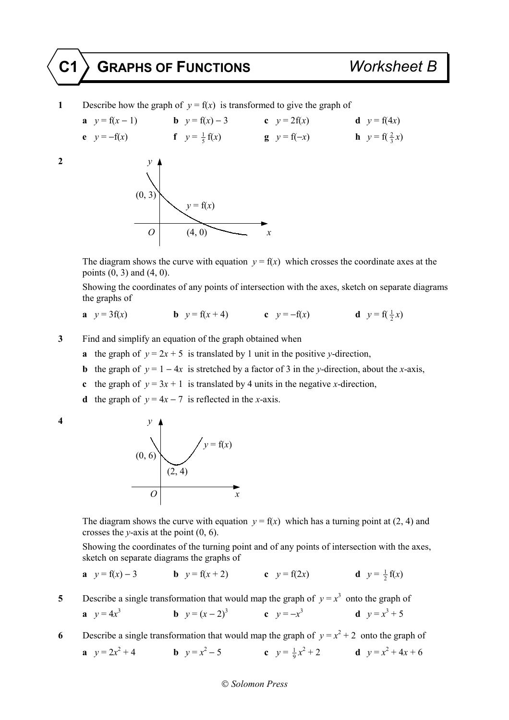**1** Describe how the graph of  $y = f(x)$  is transformed to give the graph of

**a**  $y = f(x-1)$  **b**  $y = f(x) - 3$  **c**  $y = 2f(x)$  **d**  $y = f(4x)$ **e**  $y = -f(x)$  **f**  $y = \frac{1}{5}f(x)$  **g**  $y = f(-x)$  **h**  $y = f(\frac{2}{3}x)$ 



The diagram shows the curve with equation  $y = f(x)$  which crosses the coordinate axes at the points  $(0, 3)$  and  $(4, 0)$ .

 Showing the coordinates of any points of intersection with the axes, sketch on separate diagrams the graphs of

**a** 
$$
y = 3f(x)
$$
 **b**  $y = f(x+4)$  **c**  $y = -f(x)$  **d**  $y = f(\frac{1}{2}x)$ 

- **3** Find and simplify an equation of the graph obtained when
	- **a** the graph of  $y = 2x + 5$  is translated by 1 unit in the positive *y*-direction,
	- **b** the graph of  $y = 1 4x$  is stretched by a factor of 3 in the *y*-direction, about the *x*-axis,
	- **c** the graph of  $y = 3x + 1$  is translated by 4 units in the negative *x*-direction,
	- **d** the graph of  $y = 4x 7$  is reflected in the *x*-axis.



The diagram shows the curve with equation  $y = f(x)$  which has a turning point at (2, 4) and crosses the *y*-axis at the point (0, 6).

 Showing the coordinates of the turning point and of any points of intersection with the axes, sketch on separate diagrams the graphs of

**a** 
$$
y = f(x) - 3
$$
   
**b**  $y = f(x + 2)$    
**c**  $y = f(2x)$    
**d**  $y = \frac{1}{2}f(x)$ 

**5** Describe a single transformation that would map the graph of  $y = x^3$  onto the graph of

**a** 
$$
y = 4x^3
$$
 **b**  $y = (x - 2)^3$  **c**  $y = -x^3$  **d**  $y = x^3 + 5$ 

**6** Describe a single transformation that would map the graph of  $y = x^2 + 2$  onto the graph of **a**  $y = 2x^2 + 4$  **b**  $y = x^2 - 5$  **c**  $y = \frac{1}{9}x^2 + 2$  **d**  $y = x^2 + 4x + 6$ 

## *Solomon Press*